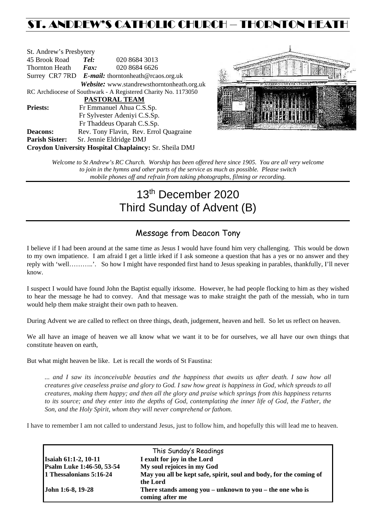## ST. ANDREW'S CATHOLIC CHURCH – THORNTON HEAT

| St. Andrew's Presbytery                                        |                                                   |                                            |  |  |  |
|----------------------------------------------------------------|---------------------------------------------------|--------------------------------------------|--|--|--|
| 45 Brook Road                                                  | Tel:                                              | 020 8684 3013                              |  |  |  |
| Thornton Heath                                                 | Fax:                                              | 020 8684 6626                              |  |  |  |
|                                                                | Surrey CR7 7RD E-mail: thorntonheath@rcaos.org.uk |                                            |  |  |  |
|                                                                |                                                   | Website: www.standrewsthorntonheath.org.uk |  |  |  |
| RC Archdiocese of Southwark - A Registered Charity No. 1173050 |                                                   |                                            |  |  |  |
| <b>PASTORAL TEAM</b>                                           |                                                   |                                            |  |  |  |
| <b>Priests:</b>                                                | Fr Emmanuel Ahua C.S.Sp.                          |                                            |  |  |  |
|                                                                | Fr Sylvester Adeniyi C.S.Sp.                      |                                            |  |  |  |
|                                                                | Fr Thaddeus Oparah C.S.Sp.                        |                                            |  |  |  |
| <b>Deacons:</b>                                                |                                                   | Rev. Tony Flavin, Rev. Errol Quagraine     |  |  |  |
| <b>Parish Sister:</b>                                          | Sr. Jennie Eldridge DMJ                           |                                            |  |  |  |
| <b>Croydon University Hospital Chaplaincy: Sr. Sheila DMJ</b>  |                                                   |                                            |  |  |  |



*Welcome to St Andrew's RC Church. Worship has been offered here since 1905. You are all very welcome to join in the hymns and other parts of the service as much as possible. Please switch mobile phones off and refrain from taking photographs, filming or recording.*

# 13th December 2020 Third Sunday of Advent (B)

## Message from Deacon Tony

I believe if I had been around at the same time as Jesus I would have found him very challenging. This would be down to my own impatience. I am afraid I get a little irked if I ask someone a question that has a yes or no answer and they reply with 'well………..'. So how I might have responded first hand to Jesus speaking in parables, thankfully, I'll never know.

I suspect I would have found John the Baptist equally irksome. However, he had people flocking to him as they wished to hear the message he had to convey. And that message was to make straight the path of the messiah, who in turn would help them make straight their own path to heaven.

During Advent we are called to reflect on three things, death, judgement, heaven and hell. So let us reflect on heaven.

We all have an image of heaven we all know what we want it to be for ourselves, we all have our own things that constitute heaven on earth,

But what might heaven be like. Let is recall the words of St Faustina:

*... and I saw its inconceivable beauties and the happiness that awaits us after death. I saw how all creatures give ceaseless praise and glory to God. I saw how great is happiness in God, which spreads to all creatures, making them happy; and then all the glory and praise which springs from this happiness returns to its source; and they enter into the depths of God, contemplating the inner life of God, the Father, the Son, and the Holy Spirit, whom they will never comprehend or fathom.*

I have to remember I am not called to understand Jesus, just to follow him, and hopefully this will lead me to heaven.

| This Sunday's Readings           |                                                                                 |  |  |  |
|----------------------------------|---------------------------------------------------------------------------------|--|--|--|
| <b>Isaiah 61:1-2, 10-11</b>      | I exult for joy in the Lord                                                     |  |  |  |
| <b>Psalm Luke 1:46-50, 53-54</b> | My soul rejoices in my God                                                      |  |  |  |
| 1 Thessalonians 5:16-24          | May you all be kept safe, spirit, soul and body, for the coming of<br>the Lord  |  |  |  |
| John 1:6-8, 19-28                | There stands among you $-$ unknown to you $-$ the one who is<br>coming after me |  |  |  |